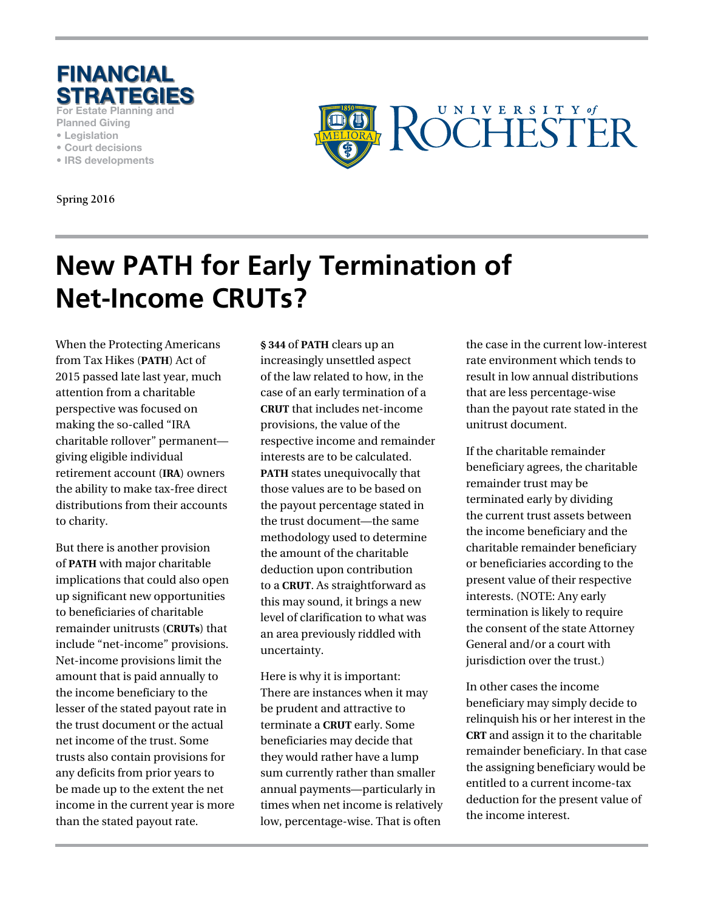

**For Estate Planning and** 

- **Planned Giving • Legislation**
- **Court decisions**
- **IRS developments**

**Spring 2016**



# **New PATH for Early Termination of Net-Income CRUTs?**

When the Protecting Americans from Tax Hikes (**PATH**) Act of 2015 passed late last year, much attention from a charitable perspective was focused on making the so-called "IRA charitable rollover" permanent giving eligible individual retirement account (**IRA**) owners the ability to make tax-free direct distributions from their accounts to charity.

But there is another provision of **PATH** with major charitable implications that could also open up significant new opportunities to beneficiaries of charitable remainder unitrusts (**CRUTs**) that include "net-income" provisions. Net-income provisions limit the amount that is paid annually to the income beneficiary to the lesser of the stated payout rate in the trust document or the actual net income of the trust. Some trusts also contain provisions for any deficits from prior years to be made up to the extent the net income in the current year is more than the stated payout rate.

**§ 344** of **PATH** clears up an increasingly unsettled aspect of the law related to how, in the case of an early termination of a **CRUT** that includes net-income provisions, the value of the respective income and remainder interests are to be calculated. **PATH** states unequivocally that those values are to be based on the payout percentage stated in the trust document—the same methodology used to determine the amount of the charitable deduction upon contribution to a **CRUT**. As straightforward as this may sound, it brings a new level of clarification to what was an area previously riddled with uncertainty.

Here is why it is important: There are instances when it may be prudent and attractive to terminate a **CRUT** early. Some beneficiaries may decide that they would rather have a lump sum currently rather than smaller annual payments—particularly in times when net income is relatively low, percentage-wise. That is often

the case in the current low-interest rate environment which tends to result in low annual distributions that are less percentage-wise than the payout rate stated in the unitrust document.

If the charitable remainder beneficiary agrees, the charitable remainder trust may be terminated early by dividing the current trust assets between the income beneficiary and the charitable remainder beneficiary or beneficiaries according to the present value of their respective interests. (NOTE: Any early termination is likely to require the consent of the state Attorney General and/or a court with jurisdiction over the trust.)

In other cases the income beneficiary may simply decide to relinquish his or her interest in the **CRT** and assign it to the charitable remainder beneficiary. In that case the assigning beneficiary would be entitled to a current income-tax deduction for the present value of the income interest.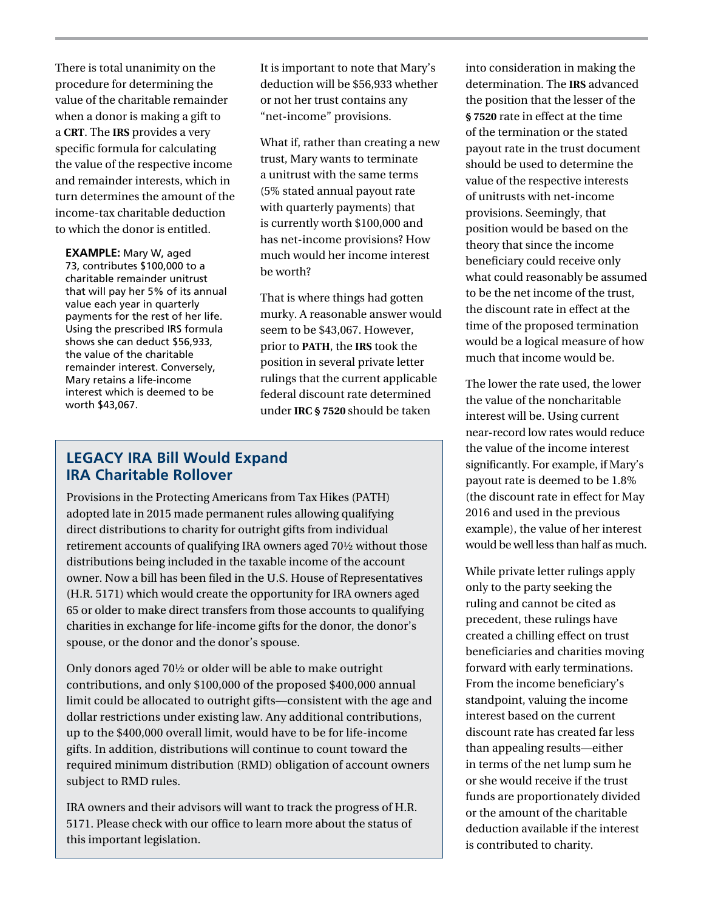There is total unanimity on the procedure for determining the value of the charitable remainder when a donor is making a gift to a **CRT**. The **IRS** provides a very specific formula for calculating the value of the respective income and remainder interests, which in turn determines the amount of the income-tax charitable deduction to which the donor is entitled.

**EXAMPLE:** Mary W, aged 73, contributes \$100,000 to a charitable remainder unitrust that will pay her 5% of its annual value each year in quarterly payments for the rest of her life. Using the prescribed IRS formula shows she can deduct \$56,933, the value of the charitable remainder interest. Conversely, Mary retains a life-income interest which is deemed to be worth \$43,067.

It is important to note that Mary's deduction will be \$56,933 whether or not her trust contains any "net-income" provisions.

What if, rather than creating a new trust, Mary wants to terminate a unitrust with the same terms (5% stated annual payout rate with quarterly payments) that is currently worth \$100,000 and has net-income provisions? How much would her income interest be worth?

That is where things had gotten murky. A reasonable answer would seem to be \$43,067. However, prior to **PATH**, the **IRS** took the position in several private letter rulings that the current applicable federal discount rate determined under **IRC § 7520** should be taken

### **LEGACY IRA Bill Would Expand IRA Charitable Rollover**

Provisions in the Protecting Americans from Tax Hikes (PATH) adopted late in 2015 made permanent rules allowing qualifying direct distributions to charity for outright gifts from individual retirement accounts of qualifying IRA owners aged 70½ without those distributions being included in the taxable income of the account owner. Now a bill has been filed in the U.S. House of Representatives (H.R. 5171) which would create the opportunity for IRA owners aged 65 or older to make direct transfers from those accounts to qualifying charities in exchange for life-income gifts for the donor, the donor's spouse, or the donor and the donor's spouse.

Only donors aged 70½ or older will be able to make outright contributions, and only \$100,000 of the proposed \$400,000 annual limit could be allocated to outright gifts—consistent with the age and dollar restrictions under existing law. Any additional contributions, up to the \$400,000 overall limit, would have to be for life-income gifts. In addition, distributions will continue to count toward the required minimum distribution (RMD) obligation of account owners subject to RMD rules.

IRA owners and their advisors will want to track the progress of H.R. 5171. Please check with our office to learn more about the status of this important legislation.

into consideration in making the determination. The **IRS** advanced the position that the lesser of the **§ 7520** rate in effect at the time of the termination or the stated payout rate in the trust document should be used to determine the value of the respective interests of unitrusts with net-income provisions. Seemingly, that position would be based on the theory that since the income beneficiary could receive only what could reasonably be assumed to be the net income of the trust, the discount rate in effect at the time of the proposed termination would be a logical measure of how much that income would be.

The lower the rate used, the lower the value of the noncharitable interest will be. Using current near-record low rates would reduce the value of the income interest significantly. For example, if Mary's payout rate is deemed to be 1.8% (the discount rate in effect for May 2016 and used in the previous example), the value of her interest would be well less than half as much.

While private letter rulings apply only to the party seeking the ruling and cannot be cited as precedent, these rulings have created a chilling effect on trust beneficiaries and charities moving forward with early terminations. From the income beneficiary's standpoint, valuing the income interest based on the current discount rate has created far less than appealing results—either in terms of the net lump sum he or she would receive if the trust funds are proportionately divided or the amount of the charitable deduction available if the interest is contributed to charity.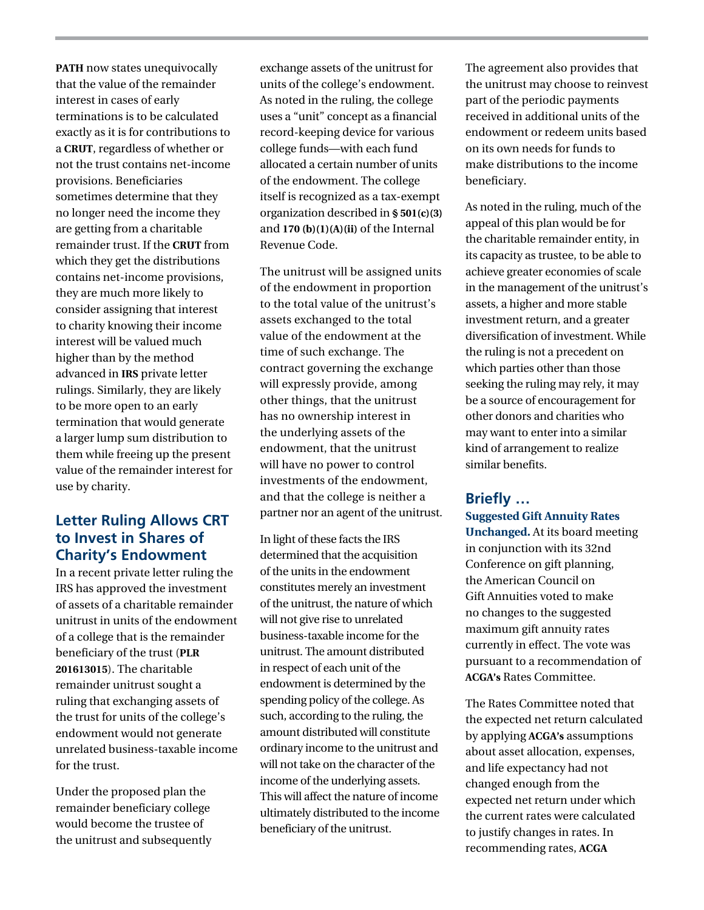**PATH** now states unequivocally that the value of the remainder interest in cases of early terminations is to be calculated exactly as it is for contributions to a **CRUT**, regardless of whether or not the trust contains net-income provisions. Beneficiaries sometimes determine that they no longer need the income they are getting from a charitable remainder trust. If the **CRUT** from which they get the distributions contains net-income provisions, they are much more likely to consider assigning that interest to charity knowing their income interest will be valued much higher than by the method advanced in **IRS** private letter rulings. Similarly, they are likely to be more open to an early termination that would generate a larger lump sum distribution to them while freeing up the present value of the remainder interest for use by charity.

### **Letter Ruling Allows CRT to Invest in Shares of Charity's Endowment**

In a recent private letter ruling the IRS has approved the investment of assets of a charitable remainder unitrust in units of the endowment of a college that is the remainder beneficiary of the trust (**PLR 201613015**). The charitable remainder unitrust sought a ruling that exchanging assets of the trust for units of the college's endowment would not generate unrelated business-taxable income for the trust.

Under the proposed plan the remainder beneficiary college would become the trustee of the unitrust and subsequently

exchange assets of the unitrust for units of the college's endowment. As noted in the ruling, the college uses a "unit" concept as a financial record-keeping device for various college funds—with each fund allocated a certain number of units of the endowment. The college itself is recognized as a tax-exempt organization described in **§ 501(c)(3)** and **170 (b)(1)(A)(ii)** of the Internal Revenue Code.

The unitrust will be assigned units of the endowment in proportion to the total value of the unitrust's assets exchanged to the total value of the endowment at the time of such exchange. The contract governing the exchange will expressly provide, among other things, that the unitrust has no ownership interest in the underlying assets of the endowment, that the unitrust will have no power to control investments of the endowment, and that the college is neither a partner nor an agent of the unitrust.

In light of these facts the IRS determined that the acquisition of the units in the endowment constitutes merely an investment of the unitrust, the nature of which will not give rise to unrelated business-taxable income for the unitrust. The amount distributed in respect of each unit of the endowment is determined by the spending policy of the college. As such, according to the ruling, the amount distributed will constitute ordinary income to the unitrust and will not take on the character of the income of the underlying assets. This will affect the nature of income ultimately distributed to the income beneficiary of the unitrust.

The agreement also provides that the unitrust may choose to reinvest part of the periodic payments received in additional units of the endowment or redeem units based on its own needs for funds to make distributions to the income beneficiary.

As noted in the ruling, much of the appeal of this plan would be for the charitable remainder entity, in its capacity as trustee, to be able to achieve greater economies of scale in the management of the unitrust's assets, a higher and more stable investment return, and a greater diversification of investment. While the ruling is not a precedent on which parties other than those seeking the ruling may rely, it may be a source of encouragement for other donors and charities who may want to enter into a similar kind of arrangement to realize similar benefits.

#### **Briefly …**

**Suggested Gift Annuity Rates Unchanged.** At its board meeting in conjunction with its 32nd Conference on gift planning, the American Council on Gift Annuities voted to make no changes to the suggested maximum gift annuity rates currently in effect. The vote was pursuant to a recommendation of **ACGA's** Rates Committee.

The Rates Committee noted that the expected net return calculated by applying **ACGA's** assumptions about asset allocation, expenses, and life expectancy had not changed enough from the expected net return under which the current rates were calculated to justify changes in rates. In recommending rates, **ACGA**